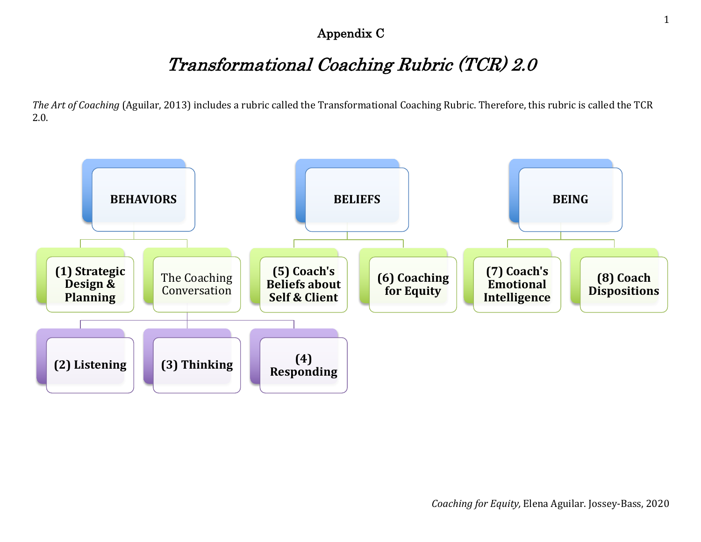#### Appendix C

# Transformational Coaching Rubric (TCR) 2.0

*The Art of Coaching* (Aguilar, 2013) includes a rubric called the Transformational Coaching Rubric. Therefore, this rubric is called the TCR 2.0.

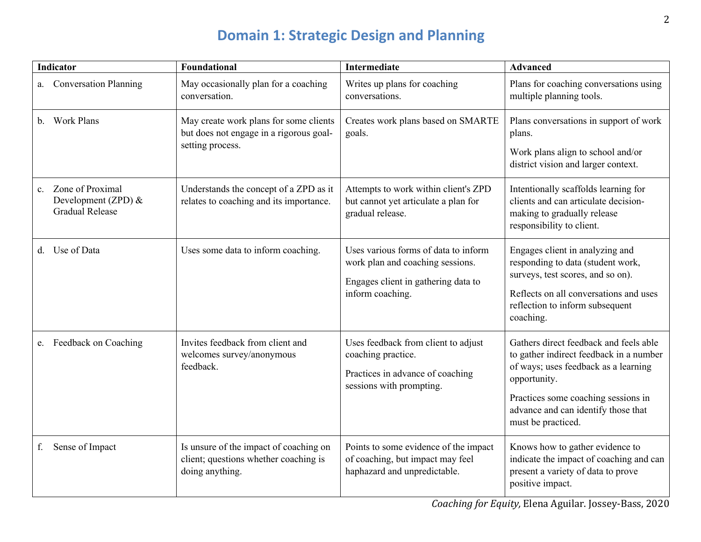# **Domain 1: Strategic Design and Planning**

| <b>Indicator</b>        |                                                                   | Foundational                                                                                          | <b>Intermediate</b>                                                                                                                 | <b>Advanced</b>                                                                                                                                                                                                                               |
|-------------------------|-------------------------------------------------------------------|-------------------------------------------------------------------------------------------------------|-------------------------------------------------------------------------------------------------------------------------------------|-----------------------------------------------------------------------------------------------------------------------------------------------------------------------------------------------------------------------------------------------|
| a.                      | <b>Conversation Planning</b>                                      | May occasionally plan for a coaching<br>conversation.                                                 | Writes up plans for coaching<br>conversations.                                                                                      | Plans for coaching conversations using<br>multiple planning tools.                                                                                                                                                                            |
| <b>Work Plans</b><br>b. |                                                                   | May create work plans for some clients<br>but does not engage in a rigorous goal-<br>setting process. | Creates work plans based on SMARTE<br>goals.                                                                                        | Plans conversations in support of work<br>plans.<br>Work plans align to school and/or<br>district vision and larger context.                                                                                                                  |
| $\mathbf{c}$ .          | Zone of Proximal<br>Development (ZPD) &<br><b>Gradual Release</b> | Understands the concept of a ZPD as it<br>relates to coaching and its importance.                     | Attempts to work within client's ZPD<br>but cannot yet articulate a plan for<br>gradual release.                                    | Intentionally scaffolds learning for<br>clients and can articulate decision-<br>making to gradually release<br>responsibility to client.                                                                                                      |
| Use of Data<br>d.       |                                                                   | Uses some data to inform coaching.                                                                    | Uses various forms of data to inform<br>work plan and coaching sessions.<br>Engages client in gathering data to<br>inform coaching. | Engages client in analyzing and<br>responding to data (student work,<br>surveys, test scores, and so on).<br>Reflects on all conversations and uses<br>reflection to inform subsequent<br>coaching.                                           |
| e.                      | Feedback on Coaching                                              | Invites feedback from client and<br>welcomes survey/anonymous<br>feedback.                            | Uses feedback from client to adjust<br>coaching practice.<br>Practices in advance of coaching<br>sessions with prompting.           | Gathers direct feedback and feels able<br>to gather indirect feedback in a number<br>of ways; uses feedback as a learning<br>opportunity.<br>Practices some coaching sessions in<br>advance and can identify those that<br>must be practiced. |
| f.                      | Sense of Impact                                                   | Is unsure of the impact of coaching on<br>client; questions whether coaching is<br>doing anything.    | Points to some evidence of the impact<br>of coaching, but impact may feel<br>haphazard and unpredictable.                           | Knows how to gather evidence to<br>indicate the impact of coaching and can<br>present a variety of data to prove<br>positive impact.                                                                                                          |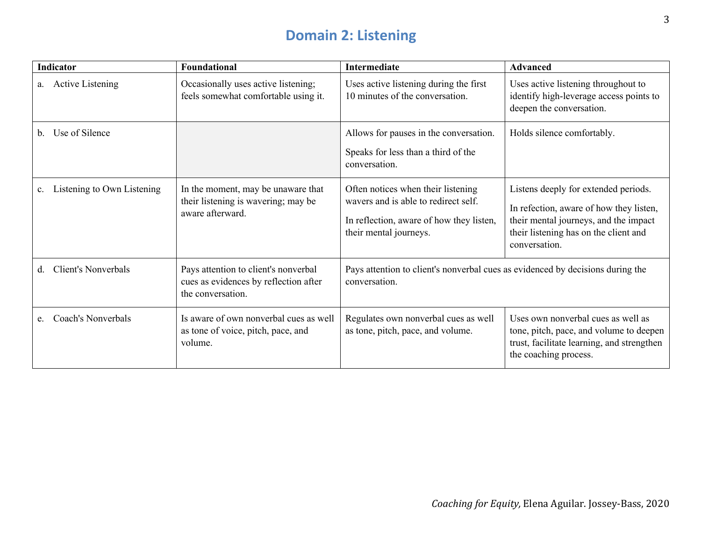# **Domain 2: Listening**

| <b>Indicator</b>                 | Foundational                                                                                       | Intermediate                                                                                                                                     | Advanced                                                                                                                                                                           |
|----------------------------------|----------------------------------------------------------------------------------------------------|--------------------------------------------------------------------------------------------------------------------------------------------------|------------------------------------------------------------------------------------------------------------------------------------------------------------------------------------|
| <b>Active Listening</b><br>a.    | Occasionally uses active listening;<br>feels somewhat comfortable using it.                        | Uses active listening during the first<br>10 minutes of the conversation.                                                                        | Uses active listening throughout to<br>identify high-leverage access points to<br>deepen the conversation.                                                                         |
| Use of Silence<br>b.             |                                                                                                    | Allows for pauses in the conversation.<br>Speaks for less than a third of the<br>conversation.                                                   | Holds silence comfortably.                                                                                                                                                         |
| Listening to Own Listening<br>c. | In the moment, may be unaware that<br>their listening is wavering; may be<br>aware afterward.      | Often notices when their listening<br>wavers and is able to redirect self.<br>In reflection, aware of how they listen,<br>their mental journeys. | Listens deeply for extended periods.<br>In refection, aware of how they listen,<br>their mental journeys, and the impact<br>their listening has on the client and<br>conversation. |
| <b>Client's Nonverbals</b><br>d. | Pays attention to client's nonverbal<br>cues as evidences by reflection after<br>the conversation. | Pays attention to client's nonverbal cues as evidenced by decisions during the<br>conversation.                                                  |                                                                                                                                                                                    |
| Coach's Nonverbals<br>e.         | Is aware of own nonverbal cues as well<br>as tone of voice, pitch, pace, and<br>volume.            | Regulates own nonverbal cues as well<br>as tone, pitch, pace, and volume.                                                                        | Uses own nonverbal cues as well as<br>tone, pitch, pace, and volume to deepen<br>trust, facilitate learning, and strengthen<br>the coaching process.                               |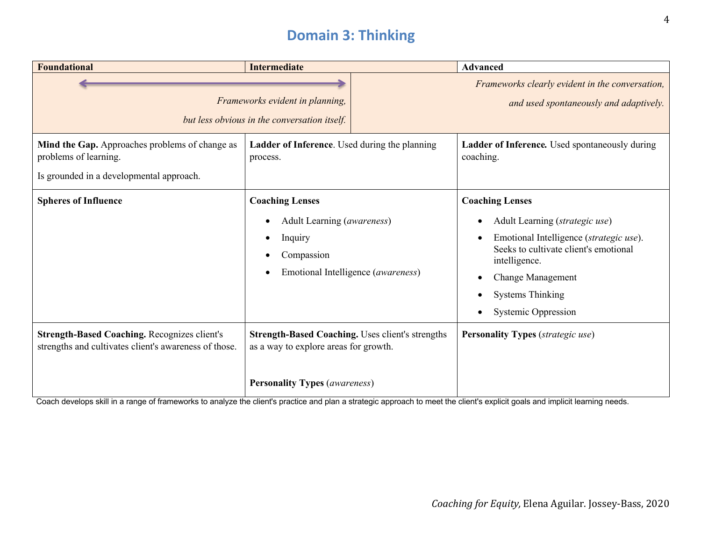#### **Domain 3: Thinking**

| <b>Foundational</b>                                                                                                 | <b>Intermediate</b>                                                                                                                      | <b>Advanced</b>                                                                                                                                                                                                                                                                                        |
|---------------------------------------------------------------------------------------------------------------------|------------------------------------------------------------------------------------------------------------------------------------------|--------------------------------------------------------------------------------------------------------------------------------------------------------------------------------------------------------------------------------------------------------------------------------------------------------|
|                                                                                                                     | Frameworks evident in planning,<br>but less obvious in the conversation itself.                                                          | Frameworks clearly evident in the conversation,<br>and used spontaneously and adaptively.                                                                                                                                                                                                              |
| Mind the Gap. Approaches problems of change as<br>problems of learning.<br>Is grounded in a developmental approach. | Ladder of Inference. Used during the planning<br>process.                                                                                | Ladder of Inference. Used spontaneously during<br>coaching.                                                                                                                                                                                                                                            |
| <b>Spheres of Influence</b>                                                                                         | <b>Coaching Lenses</b><br>Adult Learning (awareness)<br>$\bullet$<br>Inquiry<br>Compassion<br>Emotional Intelligence (awareness)         | <b>Coaching Lenses</b><br>Adult Learning (strategic use)<br>Emotional Intelligence (strategic use).<br>$\bullet$<br>Seeks to cultivate client's emotional<br>intelligence.<br><b>Change Management</b><br>$\bullet$<br><b>Systems Thinking</b><br>$\bullet$<br><b>Systemic Oppression</b><br>$\bullet$ |
| <b>Strength-Based Coaching. Recognizes client's</b><br>strengths and cultivates client's awareness of those.        | <b>Strength-Based Coaching.</b> Uses client's strengths<br>as a way to explore areas for growth.<br><b>Personality Types (awareness)</b> | <b>Personality Types</b> (strategic use)                                                                                                                                                                                                                                                               |

Coach develops skill in a range of frameworks to analyze the client's practice and plan a strategic approach to meet the client's explicit goals and implicit learning needs.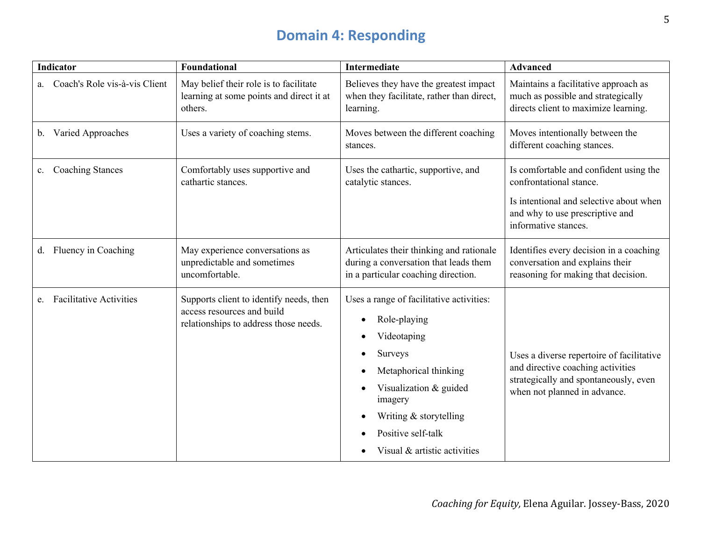# **Domain 4: Responding**

|    | <b>Indicator</b>               | <b>Foundational</b>                                                                                            | <b>Intermediate</b>                                                                                                                                                                                                                           | <b>Advanced</b>                                                                                                                                                         |
|----|--------------------------------|----------------------------------------------------------------------------------------------------------------|-----------------------------------------------------------------------------------------------------------------------------------------------------------------------------------------------------------------------------------------------|-------------------------------------------------------------------------------------------------------------------------------------------------------------------------|
| a. | Coach's Role vis-à-vis Client  | May belief their role is to facilitate<br>learning at some points and direct it at<br>others.                  | Believes they have the greatest impact<br>when they facilitate, rather than direct,<br>learning.                                                                                                                                              | Maintains a facilitative approach as<br>much as possible and strategically<br>directs client to maximize learning.                                                      |
| b. | Varied Approaches              | Uses a variety of coaching stems.                                                                              | Moves between the different coaching<br>stances.                                                                                                                                                                                              | Moves intentionally between the<br>different coaching stances.                                                                                                          |
| c. | <b>Coaching Stances</b>        | Comfortably uses supportive and<br>cathartic stances.                                                          | Uses the cathartic, supportive, and<br>catalytic stances.                                                                                                                                                                                     | Is comfortable and confident using the<br>confrontational stance.<br>Is intentional and selective about when<br>and why to use prescriptive and<br>informative stances. |
|    | d. Fluency in Coaching         | May experience conversations as<br>unpredictable and sometimes<br>uncomfortable.                               | Articulates their thinking and rationale<br>during a conversation that leads them<br>in a particular coaching direction.                                                                                                                      | Identifies every decision in a coaching<br>conversation and explains their<br>reasoning for making that decision.                                                       |
| e. | <b>Facilitative Activities</b> | Supports client to identify needs, then<br>access resources and build<br>relationships to address those needs. | Uses a range of facilitative activities:<br>Role-playing<br>Videotaping<br>Surveys<br>$\bullet$<br>Metaphorical thinking<br>Visualization & guided<br>imagery<br>Writing & storytelling<br>Positive self-talk<br>Visual & artistic activities | Uses a diverse repertoire of facilitative<br>and directive coaching activities<br>strategically and spontaneously, even<br>when not planned in advance.                 |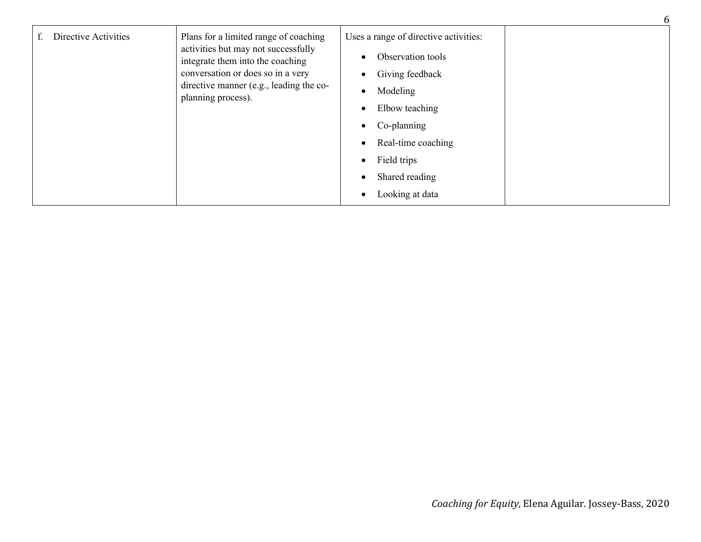| Directive Activities | Plans for a limited range of coaching                                   | Uses a range of directive activities: |
|----------------------|-------------------------------------------------------------------------|---------------------------------------|
|                      | activities but may not successfully<br>integrate them into the coaching | Observation tools                     |
|                      | conversation or does so in a very                                       | Giving feedback                       |
|                      | directive manner (e.g., leading the co-<br>planning process).           | Modeling                              |
|                      |                                                                         | Elbow teaching                        |
|                      |                                                                         | Co-planning                           |
|                      |                                                                         | Real-time coaching<br>$\bullet$       |
|                      |                                                                         | Field trips                           |
|                      |                                                                         | Shared reading                        |
|                      |                                                                         | Looking at data                       |

6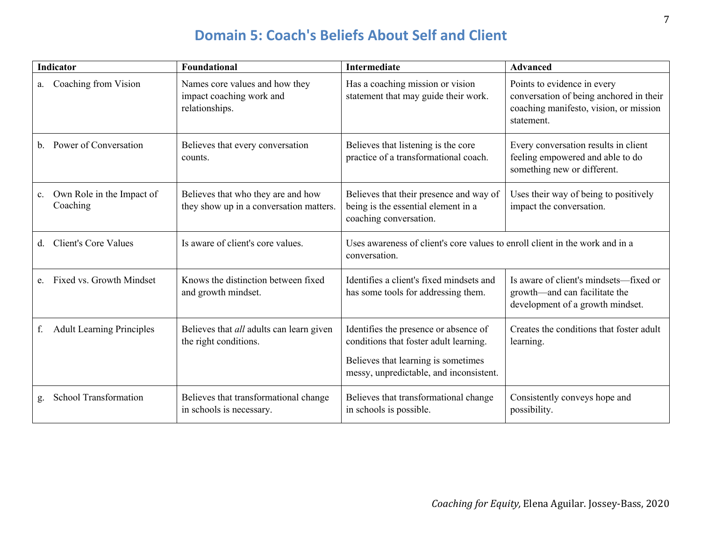#### **Domain 5: Coach's Beliefs About Self and Client**

| <b>Indicator</b>                            | Foundational                                                                  | <b>Intermediate</b>                                                                                                                                               | Advanced                                                                                                                       |
|---------------------------------------------|-------------------------------------------------------------------------------|-------------------------------------------------------------------------------------------------------------------------------------------------------------------|--------------------------------------------------------------------------------------------------------------------------------|
| Coaching from Vision<br>a.                  | Names core values and how they<br>impact coaching work and<br>relationships.  | Has a coaching mission or vision<br>statement that may guide their work.                                                                                          | Points to evidence in every<br>conversation of being anchored in their<br>coaching manifesto, vision, or mission<br>statement. |
| Power of Conversation<br>b.                 | Believes that every conversation<br>counts.                                   | Believes that listening is the core<br>practice of a transformational coach.                                                                                      | Every conversation results in client<br>feeling empowered and able to do<br>something new or different.                        |
| Own Role in the Impact of<br>c.<br>Coaching | Believes that who they are and how<br>they show up in a conversation matters. | Believes that their presence and way of<br>being is the essential element in a<br>coaching conversation.                                                          | Uses their way of being to positively<br>impact the conversation.                                                              |
| <b>Client's Core Values</b><br>d.           | Is aware of client's core values.                                             | Uses awareness of client's core values to enroll client in the work and in a<br>conversation.                                                                     |                                                                                                                                |
| Fixed vs. Growth Mindset<br>e.              | Knows the distinction between fixed<br>and growth mindset.                    | Identifies a client's fixed mindsets and<br>has some tools for addressing them.                                                                                   | Is aware of client's mindsets—fixed or<br>growth-and can facilitate the<br>development of a growth mindset.                    |
| <b>Adult Learning Principles</b><br>f.      | Believes that <i>all</i> adults can learn given<br>the right conditions.      | Identifies the presence or absence of<br>conditions that foster adult learning.<br>Believes that learning is sometimes<br>messy, unpredictable, and inconsistent. | Creates the conditions that foster adult<br>learning.                                                                          |
| School Transformation<br>g.                 | Believes that transformational change<br>in schools is necessary.             | Believes that transformational change<br>in schools is possible.                                                                                                  | Consistently conveys hope and<br>possibility.                                                                                  |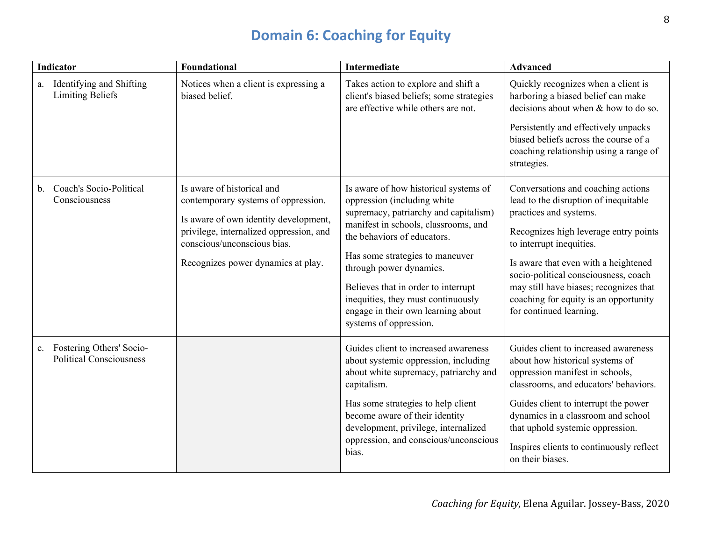# **Domain 6: Coaching for Equity**

|                | <b>Indicator</b>                                           | Foundational                                                                                                                                                                                                               | <b>Intermediate</b>                                                                                                                                                                                                                                                                                                                                                                             | <b>Advanced</b>                                                                                                                                                                                                                                                                                                                                                          |
|----------------|------------------------------------------------------------|----------------------------------------------------------------------------------------------------------------------------------------------------------------------------------------------------------------------------|-------------------------------------------------------------------------------------------------------------------------------------------------------------------------------------------------------------------------------------------------------------------------------------------------------------------------------------------------------------------------------------------------|--------------------------------------------------------------------------------------------------------------------------------------------------------------------------------------------------------------------------------------------------------------------------------------------------------------------------------------------------------------------------|
| a.             | Identifying and Shifting<br><b>Limiting Beliefs</b>        | Notices when a client is expressing a<br>biased belief.                                                                                                                                                                    | Takes action to explore and shift a<br>client's biased beliefs; some strategies<br>are effective while others are not.                                                                                                                                                                                                                                                                          | Quickly recognizes when a client is<br>harboring a biased belief can make<br>decisions about when $&$ how to do so.                                                                                                                                                                                                                                                      |
|                |                                                            |                                                                                                                                                                                                                            |                                                                                                                                                                                                                                                                                                                                                                                                 | Persistently and effectively unpacks<br>biased beliefs across the course of a<br>coaching relationship using a range of<br>strategies.                                                                                                                                                                                                                                   |
| $\mathbf{b}$ . | Coach's Socio-Political<br>Consciousness                   | Is aware of historical and<br>contemporary systems of oppression.<br>Is aware of own identity development,<br>privilege, internalized oppression, and<br>conscious/unconscious bias.<br>Recognizes power dynamics at play. | Is aware of how historical systems of<br>oppression (including white<br>supremacy, patriarchy and capitalism)<br>manifest in schools, classrooms, and<br>the behaviors of educators.<br>Has some strategies to maneuver<br>through power dynamics.<br>Believes that in order to interrupt<br>inequities, they must continuously<br>engage in their own learning about<br>systems of oppression. | Conversations and coaching actions<br>lead to the disruption of inequitable<br>practices and systems.<br>Recognizes high leverage entry points<br>to interrupt inequities.<br>Is aware that even with a heightened<br>socio-political consciousness, coach<br>may still have biases; recognizes that<br>coaching for equity is an opportunity<br>for continued learning. |
| c.             | Fostering Others' Socio-<br><b>Political Consciousness</b> |                                                                                                                                                                                                                            | Guides client to increased awareness<br>about systemic oppression, including<br>about white supremacy, patriarchy and<br>capitalism.<br>Has some strategies to help client<br>become aware of their identity<br>development, privilege, internalized<br>oppression, and conscious/unconscious<br>bias.                                                                                          | Guides client to increased awareness<br>about how historical systems of<br>oppression manifest in schools,<br>classrooms, and educators' behaviors.<br>Guides client to interrupt the power<br>dynamics in a classroom and school<br>that uphold systemic oppression.<br>Inspires clients to continuously reflect<br>on their biases.                                    |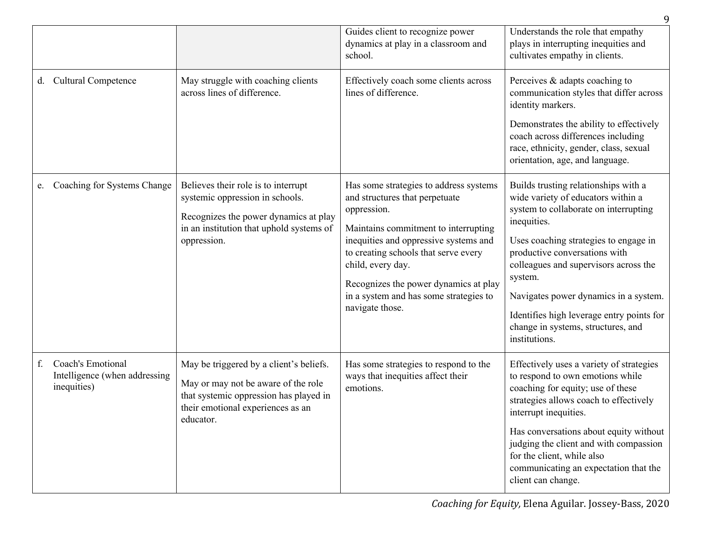|    |                                                                   |                                                                                                                                                                            | Guides client to recognize power<br>dynamics at play in a classroom and<br>school.                                                                                                                                                                                                                                                          | Understands the role that empathy<br>plays in interrupting inequities and<br>cultivates empathy in clients.                                                                                                                                                                                                                                                                                                   |
|----|-------------------------------------------------------------------|----------------------------------------------------------------------------------------------------------------------------------------------------------------------------|---------------------------------------------------------------------------------------------------------------------------------------------------------------------------------------------------------------------------------------------------------------------------------------------------------------------------------------------|---------------------------------------------------------------------------------------------------------------------------------------------------------------------------------------------------------------------------------------------------------------------------------------------------------------------------------------------------------------------------------------------------------------|
| d. | <b>Cultural Competence</b>                                        | May struggle with coaching clients<br>across lines of difference.                                                                                                          | Effectively coach some clients across<br>lines of difference.                                                                                                                                                                                                                                                                               | Perceives & adapts coaching to<br>communication styles that differ across<br>identity markers.<br>Demonstrates the ability to effectively<br>coach across differences including<br>race, ethnicity, gender, class, sexual<br>orientation, age, and language.                                                                                                                                                  |
| e. | Coaching for Systems Change                                       | Believes their role is to interrupt<br>systemic oppression in schools.<br>Recognizes the power dynamics at play<br>in an institution that uphold systems of<br>oppression. | Has some strategies to address systems<br>and structures that perpetuate<br>oppression.<br>Maintains commitment to interrupting<br>inequities and oppressive systems and<br>to creating schools that serve every<br>child, every day.<br>Recognizes the power dynamics at play<br>in a system and has some strategies to<br>navigate those. | Builds trusting relationships with a<br>wide variety of educators within a<br>system to collaborate on interrupting<br>inequities.<br>Uses coaching strategies to engage in<br>productive conversations with<br>colleagues and supervisors across the<br>system.<br>Navigates power dynamics in a system.<br>Identifies high leverage entry points for<br>change in systems, structures, and<br>institutions. |
| f. | Coach's Emotional<br>Intelligence (when addressing<br>inequities) | May be triggered by a client's beliefs.<br>May or may not be aware of the role<br>that systemic oppression has played in<br>their emotional experiences as an<br>educator. | Has some strategies to respond to the<br>ways that inequities affect their<br>emotions.                                                                                                                                                                                                                                                     | Effectively uses a variety of strategies<br>to respond to own emotions while<br>coaching for equity; use of these<br>strategies allows coach to effectively<br>interrupt inequities.<br>Has conversations about equity without<br>judging the client and with compassion<br>for the client, while also<br>communicating an expectation that the<br>client can change.                                         |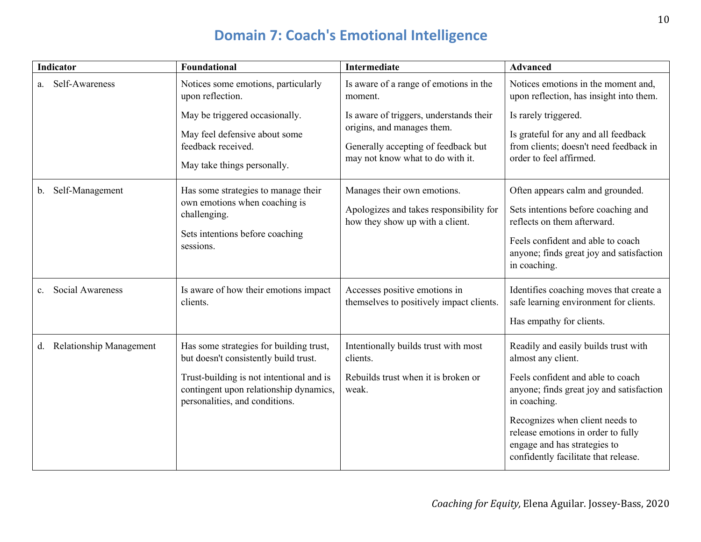# **Domain 7: Coach's Emotional Intelligence**

| <b>Indicator</b>                     | Foundational                                                                                                                                                                                             | <b>Intermediate</b>                                                                                                                              | <b>Advanced</b>                                                                                                                                                                                                                                                                                              |
|--------------------------------------|----------------------------------------------------------------------------------------------------------------------------------------------------------------------------------------------------------|--------------------------------------------------------------------------------------------------------------------------------------------------|--------------------------------------------------------------------------------------------------------------------------------------------------------------------------------------------------------------------------------------------------------------------------------------------------------------|
| Self-Awareness<br>а.                 | Notices some emotions, particularly<br>upon reflection.                                                                                                                                                  | Is aware of a range of emotions in the<br>moment.                                                                                                | Notices emotions in the moment and,<br>upon reflection, has insight into them.                                                                                                                                                                                                                               |
|                                      | May be triggered occasionally.<br>May feel defensive about some<br>feedback received.<br>May take things personally.                                                                                     | Is aware of triggers, understands their<br>origins, and manages them.<br>Generally accepting of feedback but<br>may not know what to do with it. | Is rarely triggered.<br>Is grateful for any and all feedback<br>from clients; doesn't need feedback in<br>order to feel affirmed.                                                                                                                                                                            |
| Self-Management<br>b.                | Has some strategies to manage their<br>own emotions when coaching is<br>challenging.<br>Sets intentions before coaching<br>sessions.                                                                     | Manages their own emotions.<br>Apologizes and takes responsibility for<br>how they show up with a client.                                        | Often appears calm and grounded.<br>Sets intentions before coaching and<br>reflects on them afterward.<br>Feels confident and able to coach<br>anyone; finds great joy and satisfaction<br>in coaching.                                                                                                      |
| Social Awareness<br>$c_{\cdot}$      | Is aware of how their emotions impact<br>clients.                                                                                                                                                        | Accesses positive emotions in<br>themselves to positively impact clients.                                                                        | Identifies coaching moves that create a<br>safe learning environment for clients.<br>Has empathy for clients.                                                                                                                                                                                                |
| <b>Relationship Management</b><br>d. | Has some strategies for building trust,<br>but doesn't consistently build trust.<br>Trust-building is not intentional and is<br>contingent upon relationship dynamics,<br>personalities, and conditions. | Intentionally builds trust with most<br>clients.<br>Rebuilds trust when it is broken or<br>weak.                                                 | Readily and easily builds trust with<br>almost any client.<br>Feels confident and able to coach<br>anyone; finds great joy and satisfaction<br>in coaching.<br>Recognizes when client needs to<br>release emotions in order to fully<br>engage and has strategies to<br>confidently facilitate that release. |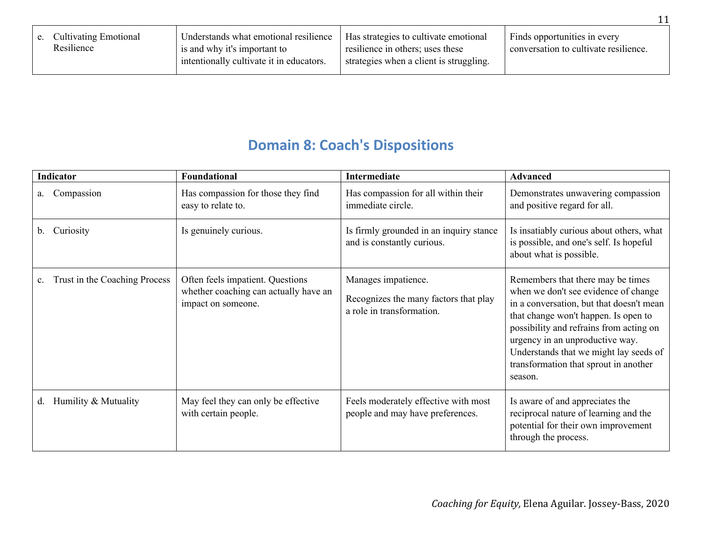| <b>Cultivating Emotional</b><br>e.<br>Resilience | Understands what emotional resilience<br>is and why it's important to<br>intentionally cultivate it in educators. | Has strategies to cultivate emotional<br>resilience in others; uses these<br>strategies when a client is struggling. | Finds opportunities in every<br>conversation to cultivate resilience. |
|--------------------------------------------------|-------------------------------------------------------------------------------------------------------------------|----------------------------------------------------------------------------------------------------------------------|-----------------------------------------------------------------------|
|--------------------------------------------------|-------------------------------------------------------------------------------------------------------------------|----------------------------------------------------------------------------------------------------------------------|-----------------------------------------------------------------------|

# **Domain 8: Coach's Dispositions**

| <b>Indicator</b>              | Foundational                                                                                    | <b>Intermediate</b>                                                                       | <b>Advanced</b>                                                                                                                                                                                                                                                                                                                           |
|-------------------------------|-------------------------------------------------------------------------------------------------|-------------------------------------------------------------------------------------------|-------------------------------------------------------------------------------------------------------------------------------------------------------------------------------------------------------------------------------------------------------------------------------------------------------------------------------------------|
| Compassion<br>a.              | Has compassion for those they find<br>easy to relate to.                                        | Has compassion for all within their<br>immediate circle.                                  | Demonstrates unwavering compassion<br>and positive regard for all.                                                                                                                                                                                                                                                                        |
| Curiosity<br>b.               | Is genuinely curious.                                                                           | Is firmly grounded in an inquiry stance<br>and is constantly curious.                     | Is insatiably curious about others, what<br>is possible, and one's self. Is hopeful<br>about what is possible.                                                                                                                                                                                                                            |
| Trust in the Coaching Process | Often feels impatient. Questions<br>whether coaching can actually have an<br>impact on someone. | Manages impatience.<br>Recognizes the many factors that play<br>a role in transformation. | Remembers that there may be times<br>when we don't see evidence of change<br>in a conversation, but that doesn't mean<br>that change won't happen. Is open to<br>possibility and refrains from acting on<br>urgency in an unproductive way.<br>Understands that we might lay seeds of<br>transformation that sprout in another<br>season. |
| Humility & Mutuality<br>d.    | May feel they can only be effective<br>with certain people.                                     | Feels moderately effective with most<br>people and may have preferences.                  | Is aware of and appreciates the<br>reciprocal nature of learning and the<br>potential for their own improvement<br>through the process.                                                                                                                                                                                                   |